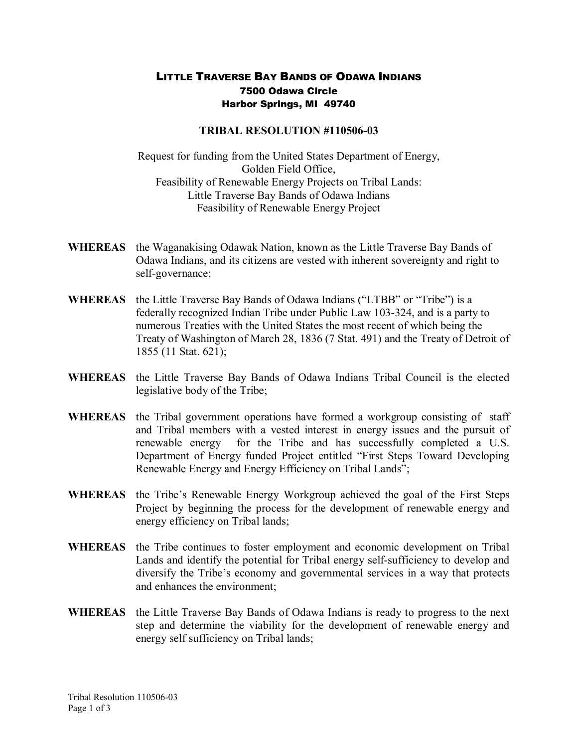## LITTLE TRAVERSE BAY BANDS OF ODAWA INDIANS 7500 Odawa Circle Harbor Springs, MI 49740

## **TRIBAL RESOLUTION #110506-03**

Request for funding from the United States Department of Energy, Golden Field Office, Feasibility of Renewable Energy Projects on Tribal Lands: Little Traverse Bay Bands of Odawa Indians Feasibility of Renewable Energy Project

- **WHEREAS** the Waganakising Odawak Nation, known as the Little Traverse Bay Bands of Odawa Indians, and its citizens are vested with inherent sovereignty and right to self-governance;
- **WHEREAS** the Little Traverse Bay Bands of Odawa Indians ("LTBB" or "Tribe") is a federally recognized Indian Tribe under Public Law 103-324, and is a party to numerous Treaties with the United States the most recent of which being the Treaty of Washington of March 28, 1836 (7 Stat. 491) and the Treaty of Detroit of 1855 (11 Stat. 621);
- **WHEREAS** the Little Traverse Bay Bands of Odawa Indians Tribal Council is the elected legislative body of the Tribe;
- **WHEREAS** the Tribal government operations have formed a workgroup consisting of staff and Tribal members with a vested interest in energy issues and the pursuit of renewable energy for the Tribe and has successfully completed a U.S. Department of Energy funded Project entitled "First Steps Toward Developing Renewable Energy and Energy Efficiency on Tribal Lands";
- **WHEREAS** the Tribe's Renewable Energy Workgroup achieved the goal of the First Steps Project by beginning the process for the development of renewable energy and energy efficiency on Tribal lands;
- **WHEREAS** the Tribe continues to foster employment and economic development on Tribal Lands and identify the potential for Tribal energy self-sufficiency to develop and diversify the Tribe's economy and governmental services in a way that protects and enhances the environment;
- **WHEREAS** the Little Traverse Bay Bands of Odawa Indians is ready to progress to the next step and determine the viability for the development of renewable energy and energy self sufficiency on Tribal lands;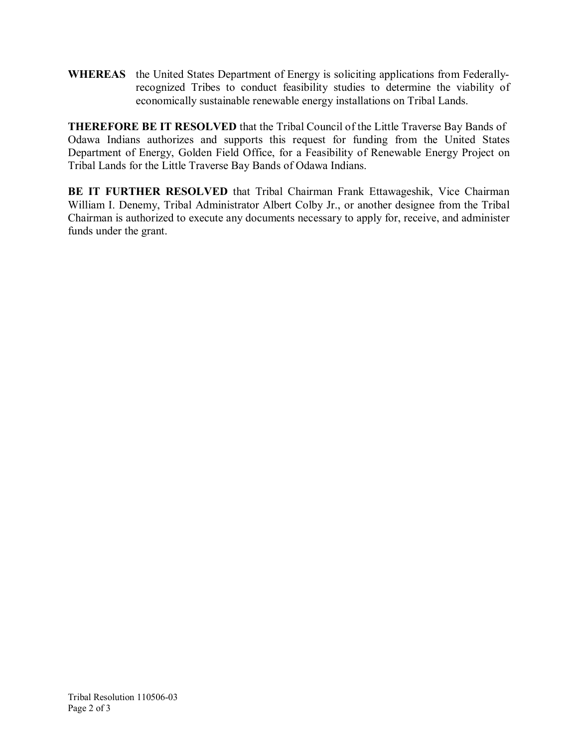**WHEREAS** the United States Department of Energy is soliciting applications from Federallyrecognized Tribes to conduct feasibility studies to determine the viability of economically sustainable renewable energy installations on Tribal Lands.

**THEREFORE BE IT RESOLVED** that the Tribal Council of the Little Traverse Bay Bands of Odawa Indians authorizes and supports this request for funding from the United States Department of Energy, Golden Field Office, for a Feasibility of Renewable Energy Project on Tribal Lands for the Little Traverse Bay Bands of Odawa Indians.

**BE IT FURTHER RESOLVED** that Tribal Chairman Frank Ettawageshik, Vice Chairman William I. Denemy, Tribal Administrator Albert Colby Jr., or another designee from the Tribal Chairman is authorized to execute any documents necessary to apply for, receive, and administer funds under the grant.